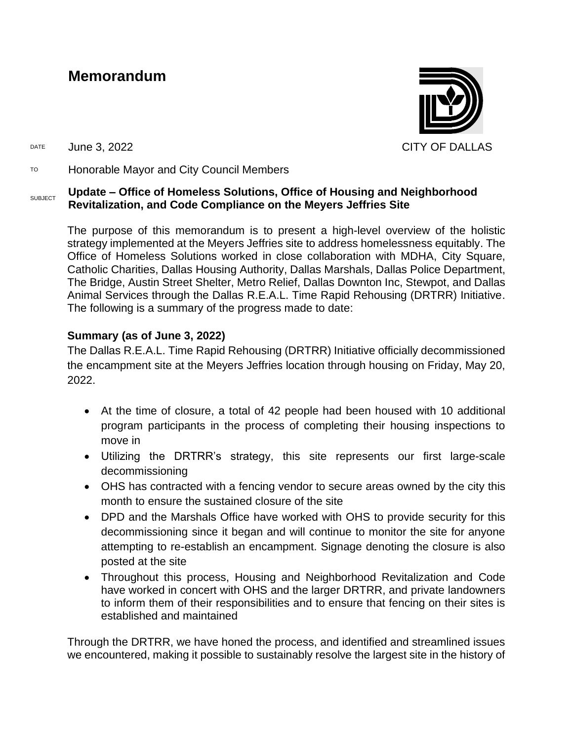## **Memorandum**



DATE June 3, 2022 CITY OF DALLAS

TO Honorable Mayor and City Council Members

## SUBJECT **Update – Office of Homeless Solutions, Office of Housing and Neighborhood Revitalization, and Code Compliance on the Meyers Jeffries Site**

The purpose of this memorandum is to present a high-level overview of the holistic strategy implemented at the Meyers Jeffries site to address homelessness equitably. The Office of Homeless Solutions worked in close collaboration with MDHA, City Square, Catholic Charities, Dallas Housing Authority, Dallas Marshals, Dallas Police Department, The Bridge, Austin Street Shelter, Metro Relief, Dallas Downton Inc, Stewpot, and Dallas Animal Services through the Dallas R.E.A.L. Time Rapid Rehousing (DRTRR) Initiative. The following is a summary of the progress made to date:

## **Summary (as of June 3, 2022)**

The Dallas R.E.A.L. Time Rapid Rehousing (DRTRR) Initiative officially decommissioned the encampment site at the Meyers Jeffries location through housing on Friday, May 20, 2022.

- At the time of closure, a total of 42 people had been housed with 10 additional program participants in the process of completing their housing inspections to move in
- Utilizing the DRTRR's strategy, this site represents our first large-scale decommissioning
- OHS has contracted with a fencing vendor to secure areas owned by the city this month to ensure the sustained closure of the site
- DPD and the Marshals Office have worked with OHS to provide security for this decommissioning since it began and will continue to monitor the site for anyone attempting to re-establish an encampment. Signage denoting the closure is also posted at the site
- Throughout this process, Housing and Neighborhood Revitalization and Code have worked in concert with OHS and the larger DRTRR, and private landowners to inform them of their responsibilities and to ensure that fencing on their sites is established and maintained

Through the DRTRR, we have honed the process, and identified and streamlined issues we encountered, making it possible to sustainably resolve the largest site in the history of